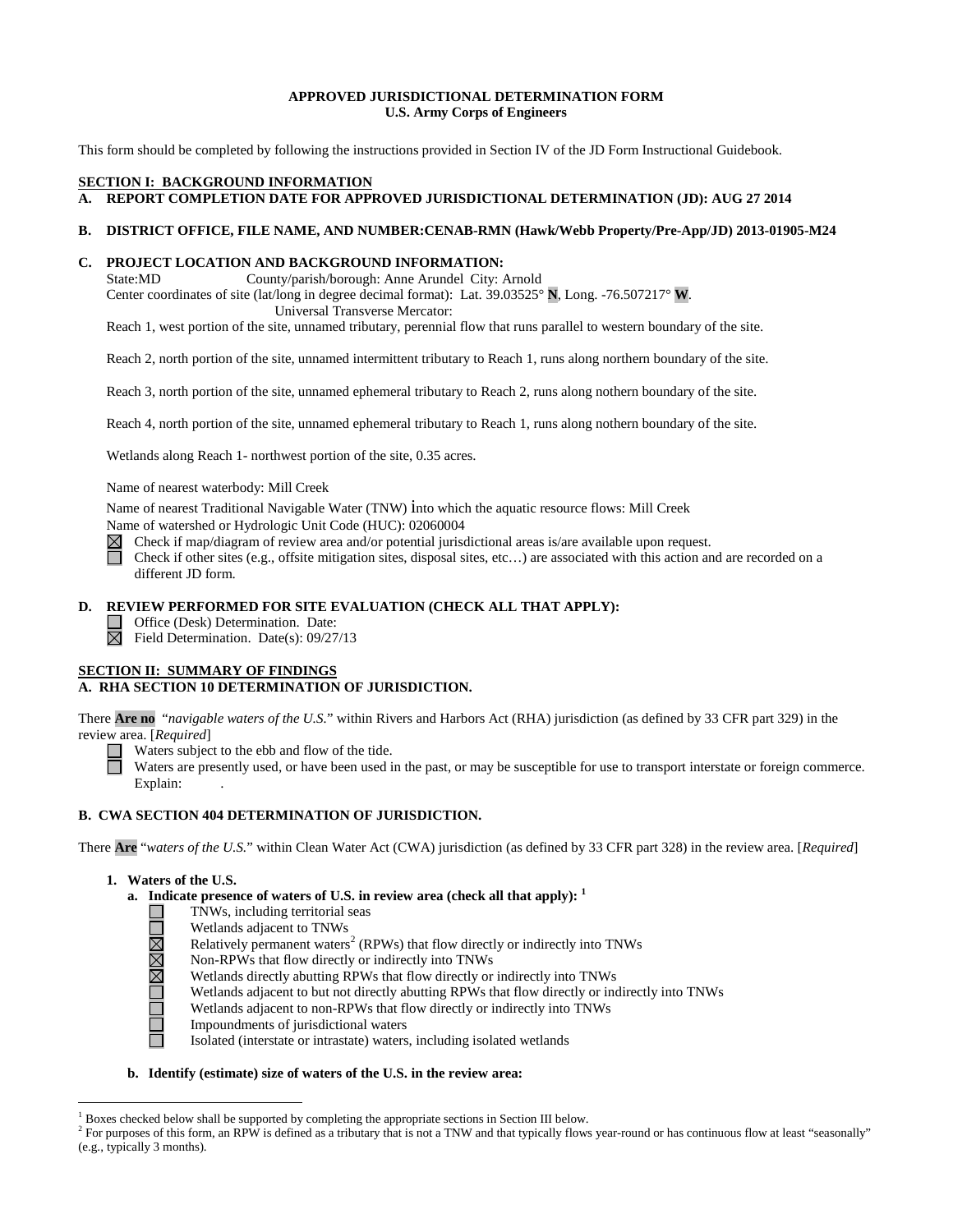## **APPROVED JURISDICTIONAL DETERMINATION FORM U.S. Army Corps of Engineers**

This form should be completed by following the instructions provided in Section IV of the JD Form Instructional Guidebook.

## **SECTION I: BACKGROUND INFORMATION**

# **A. REPORT COMPLETION DATE FOR APPROVED JURISDICTIONAL DETERMINATION (JD): AUG 27 2014**

## **B. DISTRICT OFFICE, FILE NAME, AND NUMBER:CENAB-RMN (Hawk/Webb Property/Pre-App/JD) 2013-01905-M24**

### **C. PROJECT LOCATION AND BACKGROUND INFORMATION:**

State:MD County/parish/borough: Anne Arundel City: Arnold Center coordinates of site (lat/long in degree decimal format): Lat. 39.03525° **N**, Long. -76.507217° **W**. Universal Transverse Mercator:

Reach 1, west portion of the site, unnamed tributary, perennial flow that runs parallel to western boundary of the site.

Reach 2, north portion of the site, unnamed intermittent tributary to Reach 1, runs along northern boundary of the site.

Reach 3, north portion of the site, unnamed ephemeral tributary to Reach 2, runs along nothern boundary of the site.

Reach 4, north portion of the site, unnamed ephemeral tributary to Reach 1, runs along nothern boundary of the site.

Wetlands along Reach 1- northwest portion of the site, 0.35 acres.

Name of nearest waterbody: Mill Creek

Name of nearest Traditional Navigable Water (TNW) into which the aquatic resource flows: Mill Creek Name of watershed or Hydrologic Unit Code (HUC): 02060004

Check if map/diagram of review area and/or potential jurisdictional areas is/are available upon request.

Check if other sites (e.g., offsite mitigation sites, disposal sites, etc…) are associated with this action and are recorded on a different JD form.

## **D. REVIEW PERFORMED FOR SITE EVALUATION (CHECK ALL THAT APPLY):**

□ Office (Desk) Determination. Date:

 $\boxtimes$  Field Determination. Date(s): 09/27/13

### **SECTION II: SUMMARY OF FINDINGS**

# **A. RHA SECTION 10 DETERMINATION OF JURISDICTION.**

There **Are no** "*navigable waters of the U.S.*" within Rivers and Harbors Act (RHA) jurisdiction (as defined by 33 CFR part 329) in the review area. [*Required*]

Waters subject to the ebb and flow of the tide.

Waters are presently used, or have been used in the past, or may be susceptible for use to transport interstate or foreign commerce. Explain:

# **B. CWA SECTION 404 DETERMINATION OF JURISDICTION.**

There **Are** "*waters of the U.S.*" within Clean Water Act (CWA) jurisdiction (as defined by 33 CFR part 328) in the review area. [*Required*]

# **1. Waters of the U.S.**

- **a. Indicate presence of waters of U.S. in review area (check all that apply): <sup>1</sup>**
	- TNWs, including territorial seas
	- Wetlands adjacent to TNWs
	- Relatively permanent waters<sup>2</sup> (RPWs) that flow directly or indirectly into TNWs
	- Non-RPWs that flow directly or indirectly into TNWs
	- Wetlands directly abutting RPWs that flow directly or indirectly into TNWs
	- Wetlands adjacent to but not directly abutting RPWs that flow directly or indirectly into TNWs
	- Wetlands adjacent to non-RPWs that flow directly or indirectly into TNWs
	- **UNXXZILIE** Impoundments of jurisdictional waters
		- Isolated (interstate or intrastate) waters, including isolated wetlands

### **b. Identify (estimate) size of waters of the U.S. in the review area:**

 $<sup>1</sup>$  Boxes checked below shall be supported by completing the appropriate sections in Section III below.</sup>

<sup>&</sup>lt;sup>2</sup> For purposes of this form, an RPW is defined as a tributary that is not a TNW and that typically flows year-round or has continuous flow at least "seasonally" (e.g., typically 3 months).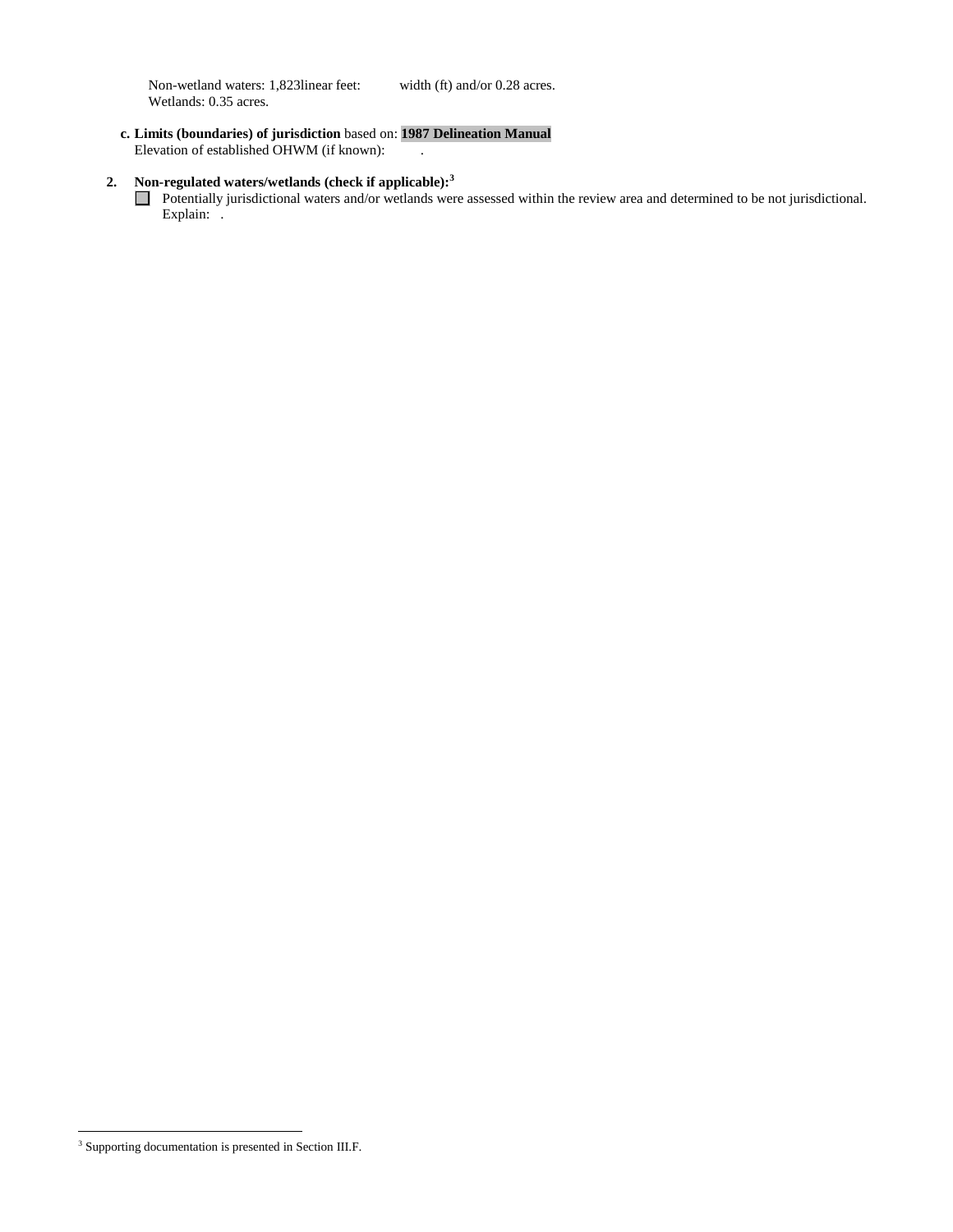Non-wetland waters: 1,823linear feet: width (ft) and/or 0.28 acres. Wetlands: 0.35 acres.

**c. Limits (boundaries) of jurisdiction** based on: **1987 Delineation Manual** Elevation of established OHWM (if known): .

## **2. Non-regulated waters/wetlands (check if applicable): 3**

Potentially jurisdictional waters and/or wetlands were assessed within the review area and determined to be not jurisdictional. Explain: .

 <sup>3</sup> Supporting documentation is presented in Section III.F.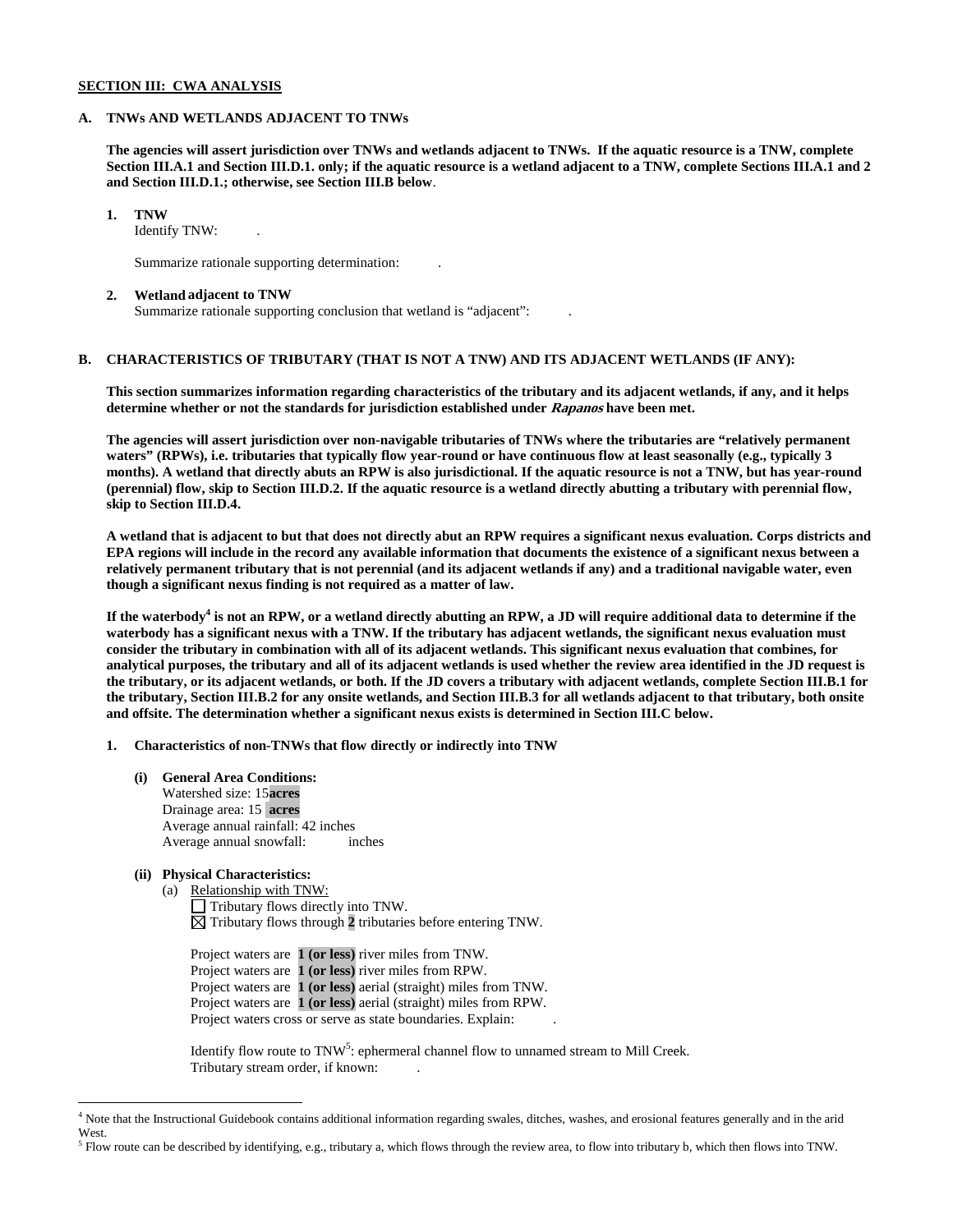## **SECTION III: CWA ANALYSIS**

### **A. TNWs AND WETLANDS ADJACENT TO TNWs**

**The agencies will assert jurisdiction over TNWs and wetlands adjacent to TNWs. If the aquatic resource is a TNW, complete Section III.A.1 and Section III.D.1. only; if the aquatic resource is a wetland adjacent to a TNW, complete Sections III.A.1 and 2 and Section III.D.1.; otherwise, see Section III.B below**.

## **1. TNW**

Identify TNW: .

Summarize rationale supporting determination: .

#### **2. Wetland adjacent to TNW**

Summarize rationale supporting conclusion that wetland is "adjacent": .

# **B. CHARACTERISTICS OF TRIBUTARY (THAT IS NOT A TNW) AND ITS ADJACENT WETLANDS (IF ANY):**

**This section summarizes information regarding characteristics of the tributary and its adjacent wetlands, if any, and it helps determine whether or not the standards for jurisdiction established under Rapanos have been met.** 

**The agencies will assert jurisdiction over non-navigable tributaries of TNWs where the tributaries are "relatively permanent waters" (RPWs), i.e. tributaries that typically flow year-round or have continuous flow at least seasonally (e.g., typically 3 months). A wetland that directly abuts an RPW is also jurisdictional. If the aquatic resource is not a TNW, but has year-round (perennial) flow, skip to Section III.D.2. If the aquatic resource is a wetland directly abutting a tributary with perennial flow, skip to Section III.D.4.**

**A wetland that is adjacent to but that does not directly abut an RPW requires a significant nexus evaluation. Corps districts and EPA regions will include in the record any available information that documents the existence of a significant nexus between a relatively permanent tributary that is not perennial (and its adjacent wetlands if any) and a traditional navigable water, even though a significant nexus finding is not required as a matter of law.**

**If the waterbody<sup>4</sup> is not an RPW, or a wetland directly abutting an RPW, a JD will require additional data to determine if the waterbody has a significant nexus with a TNW. If the tributary has adjacent wetlands, the significant nexus evaluation must consider the tributary in combination with all of its adjacent wetlands. This significant nexus evaluation that combines, for analytical purposes, the tributary and all of its adjacent wetlands is used whether the review area identified in the JD request is the tributary, or its adjacent wetlands, or both. If the JD covers a tributary with adjacent wetlands, complete Section III.B.1 for the tributary, Section III.B.2 for any onsite wetlands, and Section III.B.3 for all wetlands adjacent to that tributary, both onsite and offsite. The determination whether a significant nexus exists is determined in Section III.C below.**

**1. Characteristics of non-TNWs that flow directly or indirectly into TNW**

**(i) General Area Conditions:** Watershed size: 15**acres** Drainage area: 15 **acres** Average annual rainfall: 42 inches Average annual snowfall: inches

# **(ii) Physical Characteristics:**

(a) Relationship with TNW: Tributary flows directly into TNW. Tributary flows through **2** tributaries before entering TNW.

Project waters are **1 (or less)** river miles from TNW. Project waters are **1 (or less)** river miles from RPW. Project waters are **1 (or less)** aerial (straight) miles from TNW. Project waters are **1 (or less)** aerial (straight) miles from RPW. Project waters cross or serve as state boundaries. Explain:

Identify flow route to TNW<sup>5</sup>: ephermeral channel flow to unnamed stream to Mill Creek. Tributary stream order, if known: .

 <sup>4</sup> Note that the Instructional Guidebook contains additional information regarding swales, ditches, washes, and erosional features generally and in the arid West.

 $<sup>5</sup>$  Flow route can be described by identifying, e.g., tributary a, which flows through the review area, to flow into tributary b, which then flows into TNW.</sup>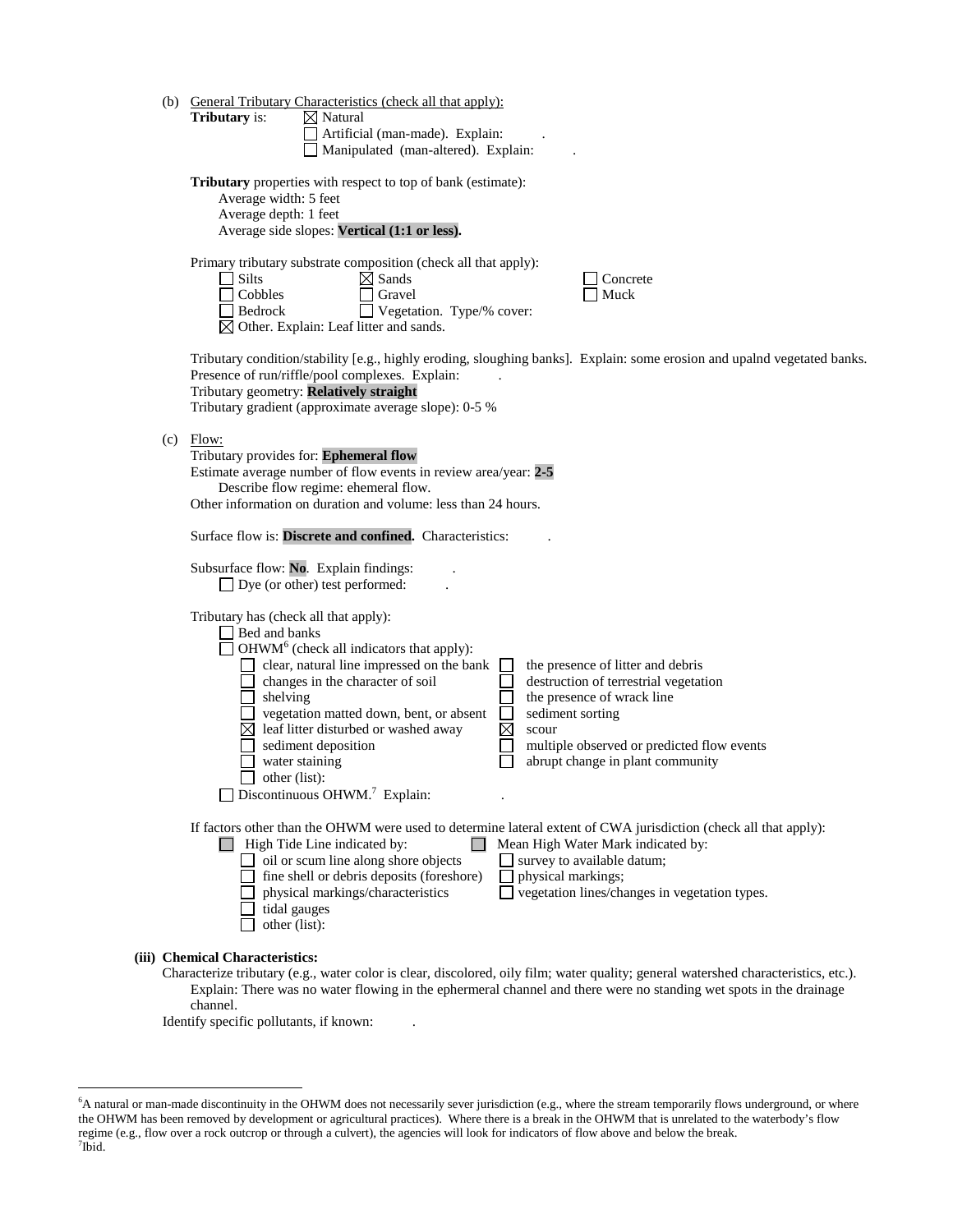|     | (b) General Tributary Characteristics (check all that apply):                                                                       |
|-----|-------------------------------------------------------------------------------------------------------------------------------------|
|     | <b>Tributary</b> is:<br>$\boxtimes$ Natural                                                                                         |
|     | Artificial (man-made). Explain:                                                                                                     |
|     | Manipulated (man-altered). Explain:                                                                                                 |
|     |                                                                                                                                     |
|     | <b>Tributary</b> properties with respect to top of bank (estimate):                                                                 |
|     | Average width: 5 feet                                                                                                               |
|     | Average depth: 1 feet                                                                                                               |
|     |                                                                                                                                     |
|     | Average side slopes: Vertical (1:1 or less).                                                                                        |
|     |                                                                                                                                     |
|     | Primary tributary substrate composition (check all that apply):                                                                     |
|     | $\boxtimes$ Sands<br><b>Silts</b><br>Concrete                                                                                       |
|     | Cobbles<br>Gravel<br>Muck                                                                                                           |
|     | Vegetation. Type/% cover:<br>Bedrock<br>⊔                                                                                           |
|     | $\boxtimes$ Other. Explain: Leaf litter and sands.                                                                                  |
|     |                                                                                                                                     |
|     | Tributary condition/stability [e.g., highly eroding, sloughing banks]. Explain: some erosion and upalnd vegetated banks.            |
|     | Presence of run/riffle/pool complexes. Explain:                                                                                     |
|     | Tributary geometry: Relatively straight                                                                                             |
|     | Tributary gradient (approximate average slope): 0-5 %                                                                               |
|     |                                                                                                                                     |
| (c) | Flow:                                                                                                                               |
|     | Tributary provides for: Ephemeral flow                                                                                              |
|     | Estimate average number of flow events in review area/year: 2-5                                                                     |
|     | Describe flow regime: ehemeral flow.                                                                                                |
|     | Other information on duration and volume: less than 24 hours.                                                                       |
|     |                                                                                                                                     |
|     | Surface flow is: Discrete and confined. Characteristics:                                                                            |
|     |                                                                                                                                     |
|     | Subsurface flow: No. Explain findings:                                                                                              |
|     | $\Box$ Dye (or other) test performed:                                                                                               |
|     |                                                                                                                                     |
|     | Tributary has (check all that apply):                                                                                               |
|     | $\Box$ Bed and banks                                                                                                                |
|     | $OHWM6$ (check all indicators that apply):                                                                                          |
|     | clear, natural line impressed on the bank<br>the presence of litter and debris<br>$\Box$                                            |
|     | $\Box$ changes in the character of soil<br>$\Box$<br>destruction of terrestrial vegetation                                          |
|     | $\Box$ shelving<br>the presence of wrack line                                                                                       |
|     | $\Box$<br>vegetation matted down, bent, or absent<br>sediment sorting                                                               |
|     | $\boxtimes$<br>$\boxtimes$ leaf litter disturbed or washed away<br>scour                                                            |
|     | sediment deposition<br>L.<br>multiple observed or predicted flow events                                                             |
|     | abrupt change in plant community<br>water staining                                                                                  |
|     | other (list):                                                                                                                       |
|     | $\Box$ Discontinuous OHWM. <sup>7</sup> Explain:                                                                                    |
|     |                                                                                                                                     |
|     | If factors other than the OHWM were used to determine lateral extent of CWA jurisdiction (check all that apply):                    |
|     | $\Box$ High Tide Line indicated by:<br>Mean High Water Mark indicated by:                                                           |
|     | $\Box$ oil or scum line along shore objects<br>survey to available datum;                                                           |
|     |                                                                                                                                     |
|     | fine shell or debris deposits (foreshore)<br>physical markings;                                                                     |
|     | physical markings/characteristics<br>vegetation lines/changes in vegetation types.                                                  |
|     | tidal gauges                                                                                                                        |
|     | other (list):                                                                                                                       |
|     |                                                                                                                                     |
|     | (iii) Chemical Characteristics:                                                                                                     |
|     | Characterize tributary (e.g., water color is clear, discolored, oily film; water quality; general watershed characteristics, etc.). |

Explain: There was no water flowing in the ephermeral channel and there were no standing wet spots in the drainage channel.

Identify specific pollutants, if known: .

 <sup>6</sup> A natural or man-made discontinuity in the OHWM does not necessarily sever jurisdiction (e.g., where the stream temporarily flows underground, or where the OHWM has been removed by development or agricultural practices). Where there is a break in the OHWM that is unrelated to the waterbody's flow regime (e.g., flow over a rock outcrop or through a culvert), the agencies will look for indicators of flow above and below the break. <sup>7</sup>  $7$ Ibid.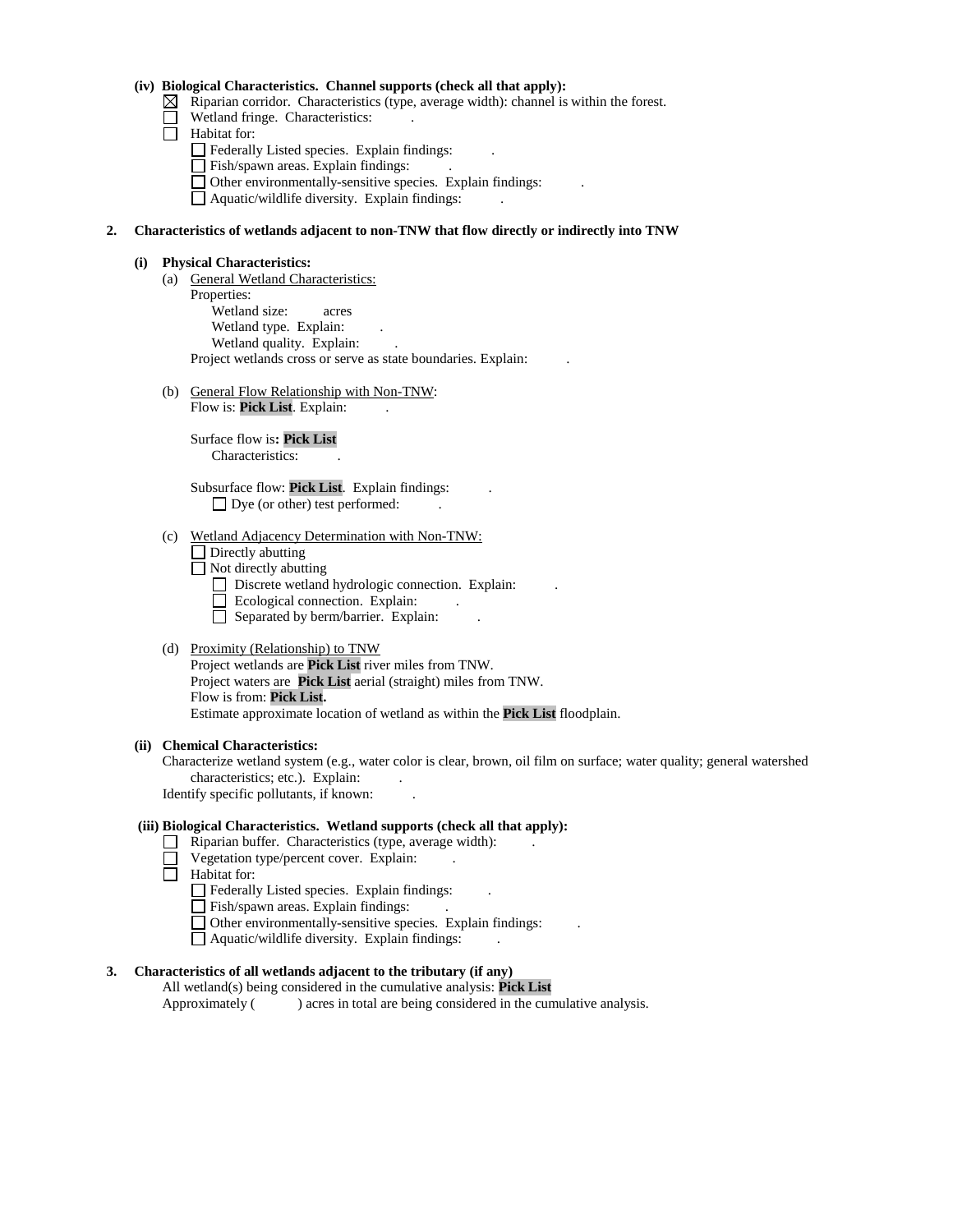## **(iv) Biological Characteristics. Channel supports (check all that apply):**

- $\boxtimes$  Riparian corridor. Characteristics (type, average width): channel is within the forest.
- Wetland fringe. Characteristics:
- $\Box$  Habitat for:
	- Federally Listed species. Explain findings:
	- Fish/spawn areas. Explain findings: .
	- Other environmentally-sensitive species. Explain findings: .
	- Aquatic/wildlife diversity. Explain findings: .

### **2. Characteristics of wetlands adjacent to non-TNW that flow directly or indirectly into TNW**

#### **(i) Physical Characteristics:**

- (a) General Wetland Characteristics: Properties: Wetland size: acres Wetland type. Explain: Wetland quality. Explain: Project wetlands cross or serve as state boundaries. Explain: .
- (b) General Flow Relationship with Non-TNW: Flow is: Pick List. Explain:

Surface flow is**: Pick List**  Characteristics: .

Subsurface flow: **Pick List**. Explain findings: . □ Dye (or other) test performed:

#### (c) Wetland Adjacency Determination with Non-TNW:

- $\Box$  Directly abutting
- $\Box$  Not directly abutting
	- Discrete wetland hydrologic connection. Explain:
	- $\Box$  Ecological connection. Explain:
	- $\Box$  Separated by berm/barrier. Explain:

### (d) Proximity (Relationship) to TNW

Project wetlands are **Pick List** river miles from TNW. Project waters are **Pick List** aerial (straight) miles from TNW. Flow is from: **Pick List.** Estimate approximate location of wetland as within the **Pick List** floodplain.

### **(ii) Chemical Characteristics:**

Characterize wetland system (e.g., water color is clear, brown, oil film on surface; water quality; general watershed characteristics; etc.). Explain:

Identify specific pollutants, if known: .

## **(iii) Biological Characteristics. Wetland supports (check all that apply):**

- $\Box$  Riparian buffer. Characteristics (type, average width):
- Vegetation type/percent cover. Explain: . П
- **Habitat for:** 
	- Federally Listed species. Explain findings: .
	- Fish/spawn areas. Explain findings:
	- Other environmentally-sensitive species. Explain findings: .
	- Aquatic/wildlife diversity. Explain findings: .

# **3. Characteristics of all wetlands adjacent to the tributary (if any)**

All wetland(s) being considered in the cumulative analysis: **Pick List** Approximately () acres in total are being considered in the cumulative analysis.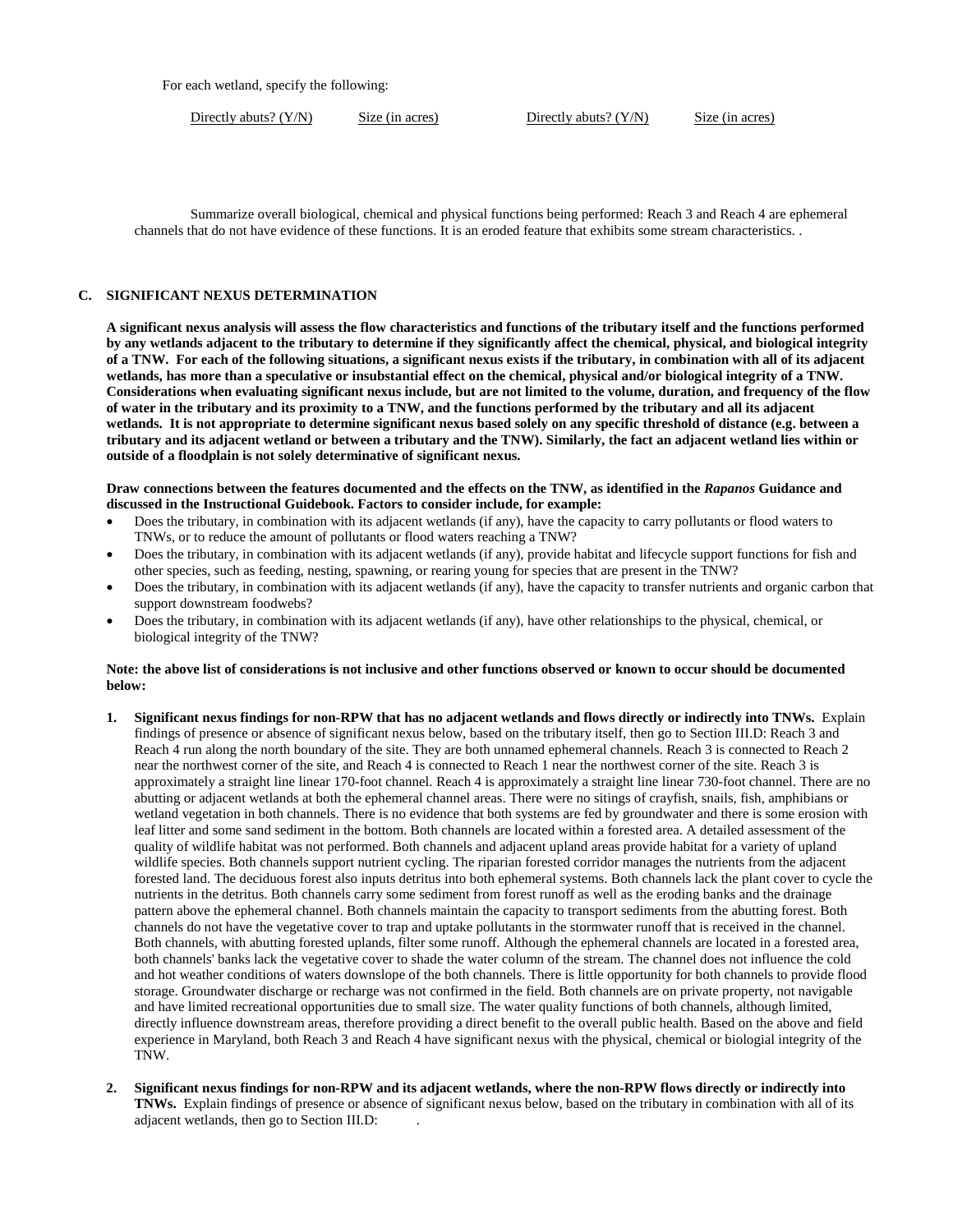For each wetland, specify the following:

Directly abuts? (Y/N) Size (in acres) Directly abuts? (Y/N) Size (in acres)

Summarize overall biological, chemical and physical functions being performed: Reach 3 and Reach 4 are ephemeral channels that do not have evidence of these functions. It is an eroded feature that exhibits some stream characteristics. .

## **C. SIGNIFICANT NEXUS DETERMINATION**

**A significant nexus analysis will assess the flow characteristics and functions of the tributary itself and the functions performed by any wetlands adjacent to the tributary to determine if they significantly affect the chemical, physical, and biological integrity of a TNW. For each of the following situations, a significant nexus exists if the tributary, in combination with all of its adjacent wetlands, has more than a speculative or insubstantial effect on the chemical, physical and/or biological integrity of a TNW. Considerations when evaluating significant nexus include, but are not limited to the volume, duration, and frequency of the flow of water in the tributary and its proximity to a TNW, and the functions performed by the tributary and all its adjacent wetlands. It is not appropriate to determine significant nexus based solely on any specific threshold of distance (e.g. between a tributary and its adjacent wetland or between a tributary and the TNW). Similarly, the fact an adjacent wetland lies within or outside of a floodplain is not solely determinative of significant nexus.** 

#### **Draw connections between the features documented and the effects on the TNW, as identified in the** *Rapanos* **Guidance and discussed in the Instructional Guidebook. Factors to consider include, for example:**

- Does the tributary, in combination with its adjacent wetlands (if any), have the capacity to carry pollutants or flood waters to TNWs, or to reduce the amount of pollutants or flood waters reaching a TNW?
- Does the tributary, in combination with its adjacent wetlands (if any), provide habitat and lifecycle support functions for fish and other species, such as feeding, nesting, spawning, or rearing young for species that are present in the TNW?
- Does the tributary, in combination with its adjacent wetlands (if any), have the capacity to transfer nutrients and organic carbon that support downstream foodwebs?
- Does the tributary, in combination with its adjacent wetlands (if any), have other relationships to the physical, chemical, or biological integrity of the TNW?

### **Note: the above list of considerations is not inclusive and other functions observed or known to occur should be documented below:**

- **1. Significant nexus findings for non-RPW that has no adjacent wetlands and flows directly or indirectly into TNWs.** Explain findings of presence or absence of significant nexus below, based on the tributary itself, then go to Section III.D: Reach 3 and Reach 4 run along the north boundary of the site. They are both unnamed ephemeral channels. Reach 3 is connected to Reach 2 near the northwest corner of the site, and Reach 4 is connected to Reach 1 near the northwest corner of the site. Reach 3 is approximately a straight line linear 170-foot channel. Reach 4 is approximately a straight line linear 730-foot channel. There are no abutting or adjacent wetlands at both the ephemeral channel areas. There were no sitings of crayfish, snails, fish, amphibians or wetland vegetation in both channels. There is no evidence that both systems are fed by groundwater and there is some erosion with leaf litter and some sand sediment in the bottom. Both channels are located within a forested area. A detailed assessment of the quality of wildlife habitat was not performed. Both channels and adjacent upland areas provide habitat for a variety of upland wildlife species. Both channels support nutrient cycling. The riparian forested corridor manages the nutrients from the adjacent forested land. The deciduous forest also inputs detritus into both ephemeral systems. Both channels lack the plant cover to cycle the nutrients in the detritus. Both channels carry some sediment from forest runoff as well as the eroding banks and the drainage pattern above the ephemeral channel. Both channels maintain the capacity to transport sediments from the abutting forest. Both channels do not have the vegetative cover to trap and uptake pollutants in the stormwater runoff that is received in the channel. Both channels, with abutting forested uplands, filter some runoff. Although the ephemeral channels are located in a forested area, both channels' banks lack the vegetative cover to shade the water column of the stream. The channel does not influence the cold and hot weather conditions of waters downslope of the both channels. There is little opportunity for both channels to provide flood storage. Groundwater discharge or recharge was not confirmed in the field. Both channels are on private property, not navigable and have limited recreational opportunities due to small size. The water quality functions of both channels, although limited, directly influence downstream areas, therefore providing a direct benefit to the overall public health. Based on the above and field experience in Maryland, both Reach 3 and Reach 4 have significant nexus with the physical, chemical or biologial integrity of the TNW.
- **2. Significant nexus findings for non-RPW and its adjacent wetlands, where the non-RPW flows directly or indirectly into TNWs.** Explain findings of presence or absence of significant nexus below, based on the tributary in combination with all of its adjacent wetlands, then go to Section III.D: .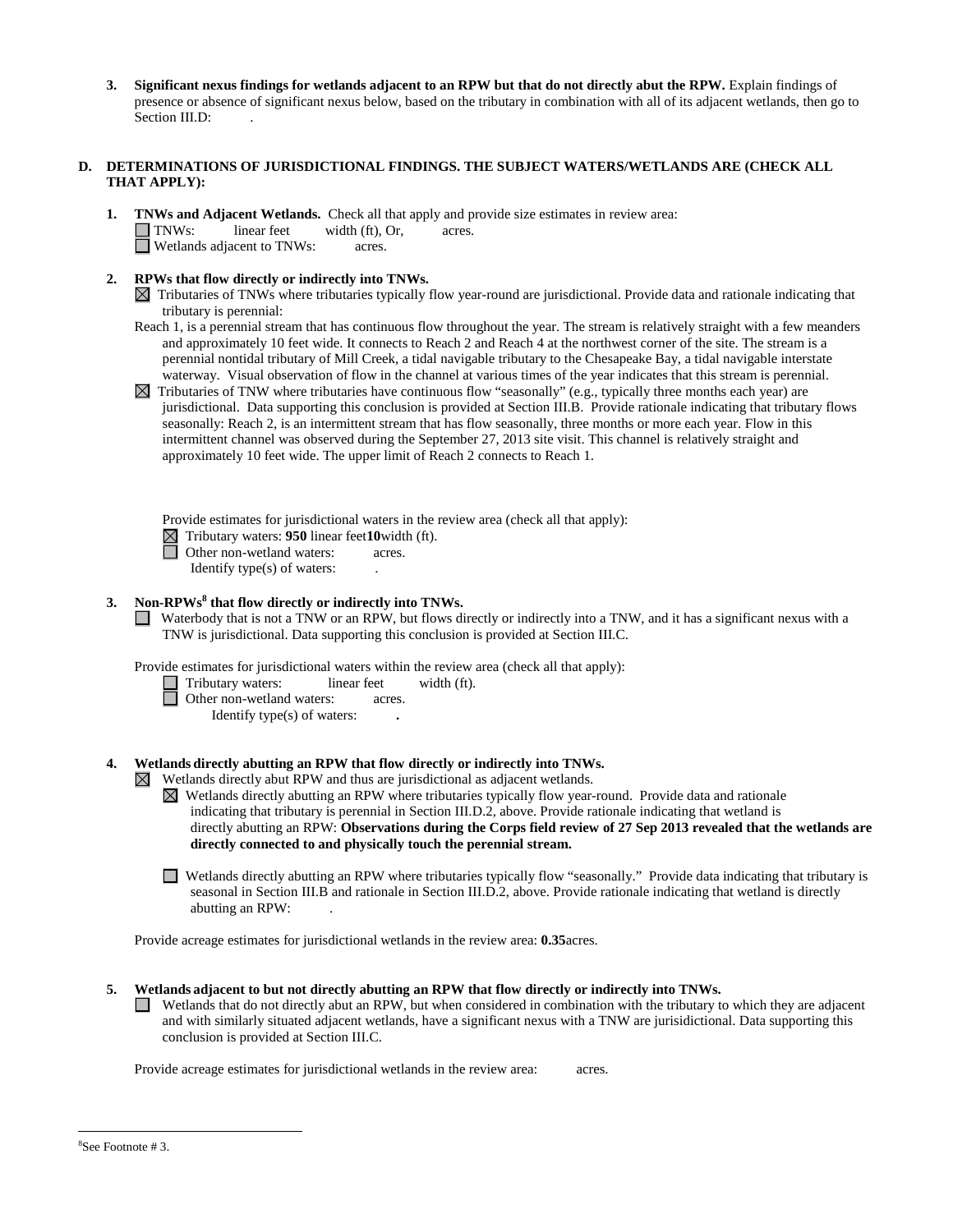**3. Significant nexus findings for wetlands adjacent to an RPW but that do not directly abut the RPW.** Explain findings of presence or absence of significant nexus below, based on the tributary in combination with all of its adjacent wetlands, then go to Section III.D:

# **D. DETERMINATIONS OF JURISDICTIONAL FINDINGS. THE SUBJECT WATERS/WETLANDS ARE (CHECK ALL THAT APPLY):**

- **1. TNWs and Adjacent Wetlands.** Check all that apply and provide size estimates in review area:<br>
TNWs: linear feet width (ft), Or, acres.  $width (ft), Or, a *cores.*$ Wetlands adjacent to TNWs: acres.
- **2. RPWs that flow directly or indirectly into TNWs.**

 $\boxtimes$  Tributaries of TNWs where tributaries typically flow year-round are jurisdictional. Provide data and rationale indicating that tributary is perennial:

- Reach 1, is a perennial stream that has continuous flow throughout the year. The stream is relatively straight with a few meanders and approximately 10 feet wide. It connects to Reach 2 and Reach 4 at the northwest corner of the site. The stream is a perennial nontidal tributary of Mill Creek, a tidal navigable tributary to the Chesapeake Bay, a tidal navigable interstate waterway. Visual observation of flow in the channel at various times of the year indicates that this stream is perennial.
- $\boxtimes$  Tributaries of TNW where tributaries have continuous flow "seasonally" (e.g., typically three months each year) are jurisdictional. Data supporting this conclusion is provided at Section III.B. Provide rationale indicating that tributary flows seasonally: Reach 2, is an intermittent stream that has flow seasonally, three months or more each year. Flow in this intermittent channel was observed during the September 27, 2013 site visit. This channel is relatively straight and approximately 10 feet wide. The upper limit of Reach 2 connects to Reach 1.

Provide estimates for jurisdictional waters in the review area (check all that apply):

Tributary waters: **950** linear feet**10**width (ft).

Other non-wetland waters: acres.

Identify type(s) of waters: .

# **3. Non-RPWs<sup>8</sup> that flow directly or indirectly into TNWs.**

Waterbody that is not a TNW or an RPW, but flows directly or indirectly into a TNW, and it has a significant nexus with a TNW is jurisdictional. Data supporting this conclusion is provided at Section III.C.

Provide estimates for jurisdictional waters within the review area (check all that apply):<br>  $\Box$  Tributary waters: linear feet width (ft).

- Tributary waters:<br> **Other non-wetlan** 
	- **Other non-wetland waters: acres.**

Identify type(s) of waters: **.**

# **4. Wetlands directly abutting an RPW that flow directly or indirectly into TNWs.**

 $\boxtimes$  Wetlands directly abut RPW and thus are jurisdictional as adjacent wetlands.

- Wetlands directly abutting an RPW where tributaries typically flow year-round. Provide data and rationale indicating that tributary is perennial in Section III.D.2, above. Provide rationale indicating that wetland is directly abutting an RPW: **Observations during the Corps field review of 27 Sep 2013 revealed that the wetlands are directly connected to and physically touch the perennial stream.**
- Wetlands directly abutting an RPW where tributaries typically flow "seasonally." Provide data indicating that tributary is seasonal in Section III.B and rationale in Section III.D.2, above. Provide rationale indicating that wetland is directly abutting an RPW: .

Provide acreage estimates for jurisdictional wetlands in the review area: **0.35**acres.

### **5. Wetlands adjacent to but not directly abutting an RPW that flow directly or indirectly into TNWs.**

Wetlands that do not directly abut an RPW, but when considered in combination with the tributary to which they are adjacent and with similarly situated adjacent wetlands, have a significant nexus with a TNW are jurisidictional. Data supporting this conclusion is provided at Section III.C.

Provide acreage estimates for jurisdictional wetlands in the review area: acres.

 <sup>8</sup> See Footnote # 3.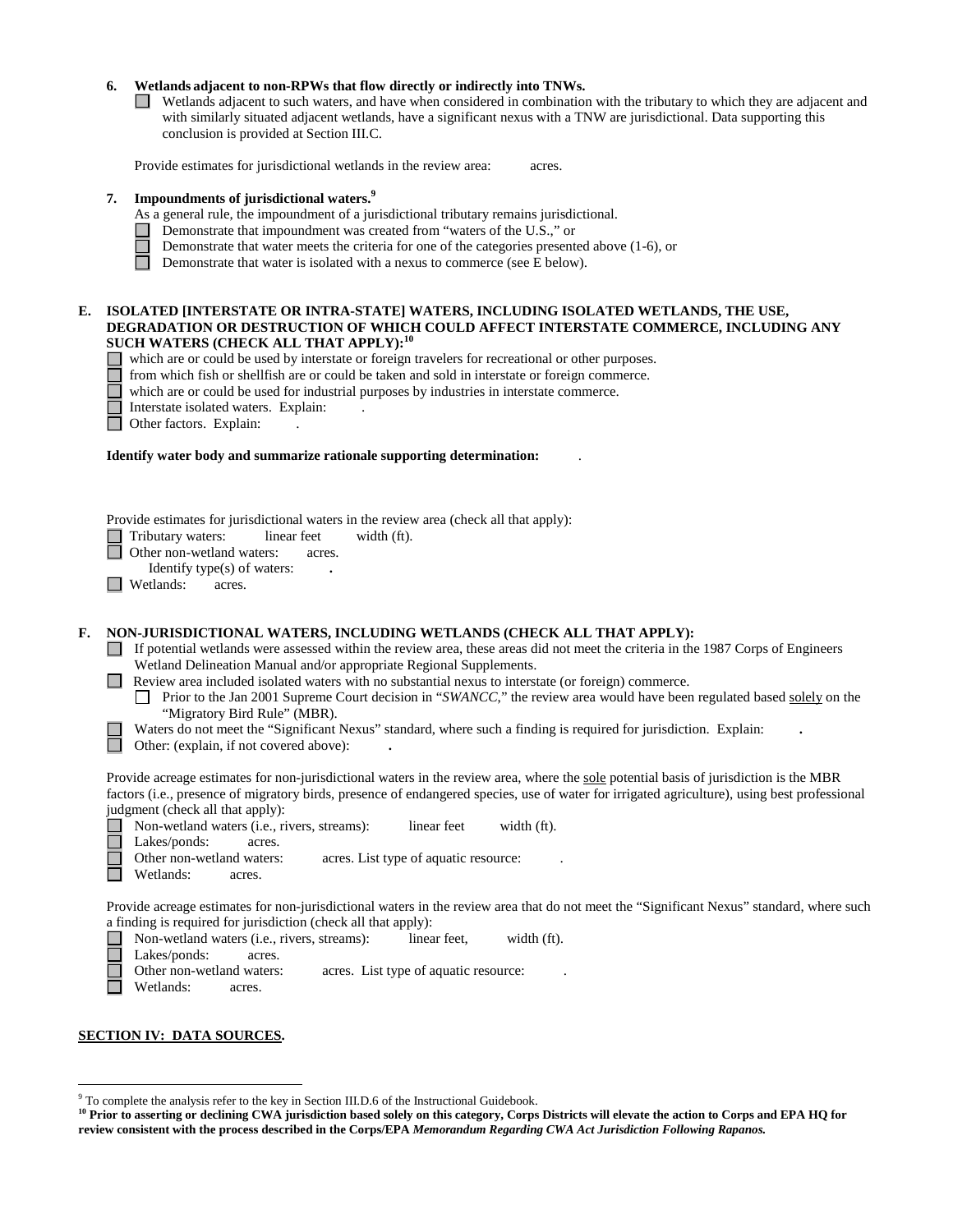## **6. Wetlands adjacent to non-RPWs that flow directly or indirectly into TNWs.**

 $\Box$ Wetlands adjacent to such waters, and have when considered in combination with the tributary to which they are adjacent and with similarly situated adjacent wetlands, have a significant nexus with a TNW are jurisdictional. Data supporting this conclusion is provided at Section III.C.

Provide estimates for jurisdictional wetlands in the review area: acres.

# **7. Impoundments of jurisdictional waters. 9**

- As a general rule, the impoundment of a jurisdictional tributary remains jurisdictional.
- Demonstrate that impoundment was created from "waters of the U.S.," or
	- Demonstrate that water meets the criteria for one of the categories presented above (1-6), or
- $\Box$ Demonstrate that water is isolated with a nexus to commerce (see E below).

### **E. ISOLATED [INTERSTATE OR INTRA-STATE] WATERS, INCLUDING ISOLATED WETLANDS, THE USE, DEGRADATION OR DESTRUCTION OF WHICH COULD AFFECT INTERSTATE COMMERCE, INCLUDING ANY SUCH WATERS (CHECK ALL THAT APPLY):<sup>10</sup>**

- which are or could be used by interstate or foreign travelers for recreational or other purposes.
- from which fish or shellfish are or could be taken and sold in interstate or foreign commerce.
- which are or could be used for industrial purposes by industries in interstate commerce.
- Interstate isolated waters.Explain: .
- Other factors. Explain:

#### **Identify water body and summarize rationale supporting determination:** .

Provide estimates for jurisdictional waters in the review area (check all that apply):

Tributary waters: linear feet width (ft).<br>
Other non-wetland waters: acres

Other non-wetland waters: acres.

Identify type(s) of waters: **.**

 $\Box$  Wetlands: acres.

# **F. NON-JURISDICTIONAL WATERS, INCLUDING WETLANDS (CHECK ALL THAT APPLY):**

- If potential wetlands were assessed within the review area, these areas did not meet the criteria in the 1987 Corps of Engineers Wetland Delineation Manual and/or appropriate Regional Supplements.
- **Review area included isolated waters with no substantial nexus to interstate (or foreign) commerce.**

Prior to the Jan 2001 Supreme Court decision in "*SWANCC*," the review area would have been regulated based solely on the "Migratory Bird Rule" (MBR).

Waters do not meet the "Significant Nexus" standard, where such a finding is required for jurisdiction. Explain: **.**

ñ Other: (explain, if not covered above): **.**

Provide acreage estimates for non-jurisdictional waters in the review area, where the sole potential basis of jurisdiction is the MBR factors (i.e., presence of migratory birds, presence of endangered species, use of water for irrigated agriculture), using best professional judgment (check all that apply):

Non-wetland waters (i.e., rivers, streams): linear feet width (ft).

Lakes/ponds: acres.

Other non-wetland waters: acres. List type of aquatic resource:

Wetlands: acres.

Provide acreage estimates for non-jurisdictional waters in the review area that do not meet the "Significant Nexus" standard, where such a finding is required for jurisdiction (check all that apply):

- □ Non-wetland waters (i.e., rivers, streams): linear feet, width (ft).
	- Lakes/ponds: acres.

 $\Box$ 

- Other non-wetland waters: acres. List type of aquatic resource:
- П Wetlands: acres.

## **SECTION IV: DATA SOURCES.**

<sup>&</sup>lt;sup>9</sup> To complete the analysis refer to the key in Section III.D.6 of the Instructional Guidebook.

<sup>&</sup>lt;sup>10</sup> Prior to asserting or declining CWA jurisdiction based solely on this category, Corps Districts will elevate the action to Corps and EPA HQ for **review consistent with the process described in the Corps/EPA** *Memorandum Regarding CWA Act Jurisdiction Following Rapanos.*